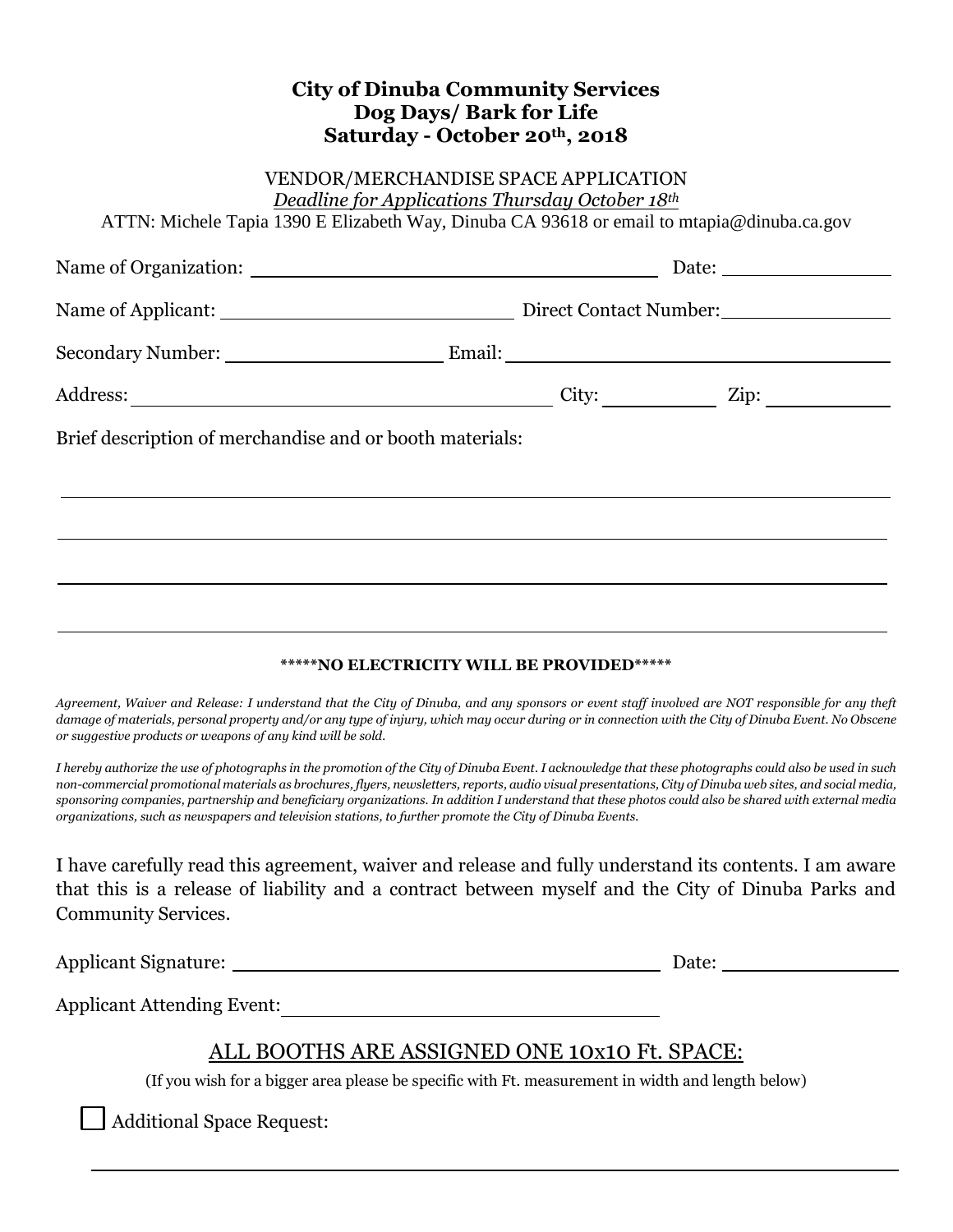#### **City of Dinuba Community Services Dog Days/ Bark for Life Saturday - October 20th , 2018**

#### VENDOR/MERCHANDISE SPACE APPLICATION *Deadline for Applications Thursday October 18th*

ATTN: Michele Tapia 1390 E Elizabeth Way, Dinuba CA 93618 or email to mtapia@dinuba.ca.gov

|                                                          |                              | Date: $\_\_$           |  |
|----------------------------------------------------------|------------------------------|------------------------|--|
|                                                          |                              | Direct Contact Number: |  |
|                                                          |                              |                        |  |
|                                                          | City: $\qquad \qquad \qquad$ |                        |  |
| Brief description of merchandise and or booth materials: |                              |                        |  |
|                                                          |                              |                        |  |
|                                                          |                              |                        |  |

#### **\*\*\*\*\*NO ELECTRICITY WILL BE PROVIDED\*\*\*\*\***

*Agreement, Waiver and Release: I understand that the City of Dinuba, and any sponsors or event staff involved are NOT responsible for any theft damage of materials, personal property and/or any type of injury, which may occur during or in connection with the City of Dinuba Event. No Obscene or suggestive products or weapons of any kind will be sold.*

*I hereby authorize the use of photographs in the promotion of the City of Dinuba Event. I acknowledge that these photographs could also be used in such non-commercial promotional materials as brochures, flyers, newsletters, reports, audio visual presentations, City of Dinuba web sites, and social media, sponsoring companies, partnership and beneficiary organizations. In addition I understand that these photos could also be shared with external media organizations, such as newspapers and television stations, to further promote the City of Dinuba Events.*

I have carefully read this agreement, waiver and release and fully understand its contents. I am aware that this is a release of liability and a contract between myself and the City of Dinuba Parks and Community Services.

Applicant Signature: Date:

Applicant Attending Event:

# ALL BOOTHS ARE ASSIGNED ONE 10x10 Ft. SPACE:

(If you wish for a bigger area please be specific with Ft. measurement in width and length below)